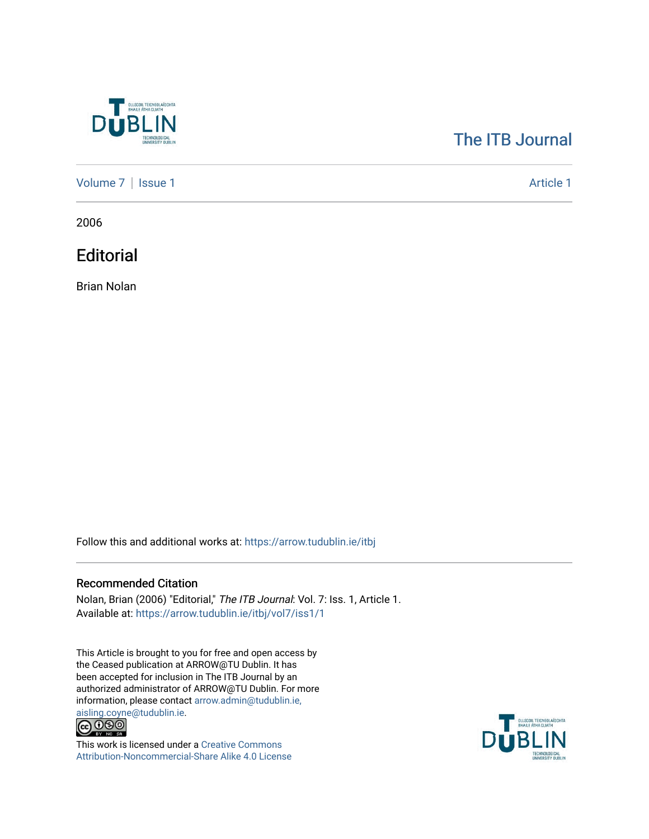

## [The ITB Journal](https://arrow.tudublin.ie/itbj)

[Volume 7](https://arrow.tudublin.ie/itbj/vol7) | [Issue 1](https://arrow.tudublin.ie/itbj/vol7/iss1) Article 1

2006

**Editorial** 

Brian Nolan

Follow this and additional works at: [https://arrow.tudublin.ie/itbj](https://arrow.tudublin.ie/itbj?utm_source=arrow.tudublin.ie%2Fitbj%2Fvol7%2Fiss1%2F1&utm_medium=PDF&utm_campaign=PDFCoverPages) 

## Recommended Citation

Nolan, Brian (2006) "Editorial," The ITB Journal: Vol. 7: Iss. 1, Article 1. Available at: [https://arrow.tudublin.ie/itbj/vol7/iss1/1](https://arrow.tudublin.ie/itbj/vol7/iss1/1?utm_source=arrow.tudublin.ie%2Fitbj%2Fvol7%2Fiss1%2F1&utm_medium=PDF&utm_campaign=PDFCoverPages) 

This Article is brought to you for free and open access by the Ceased publication at ARROW@TU Dublin. It has been accepted for inclusion in The ITB Journal by an authorized administrator of ARROW@TU Dublin. For more information, please contact [arrow.admin@tudublin.ie,](mailto:arrow.admin@tudublin.ie,%20aisling.coyne@tudublin.ie) 



This work is licensed under a [Creative Commons](http://creativecommons.org/licenses/by-nc-sa/4.0/) [Attribution-Noncommercial-Share Alike 4.0 License](http://creativecommons.org/licenses/by-nc-sa/4.0/)